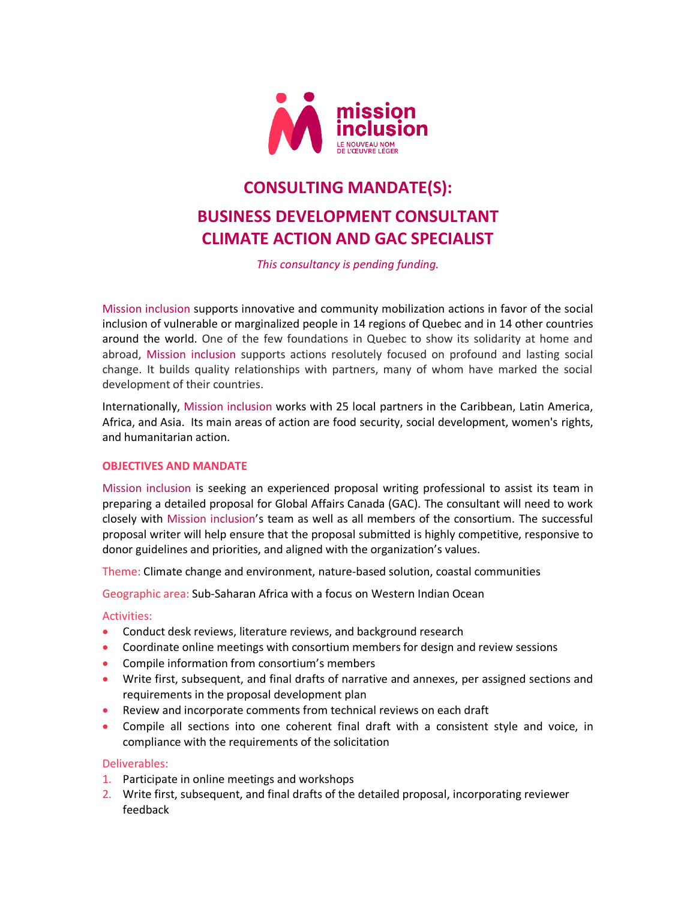

# **CONSULTING MANDATE(S): BUSINESS DEVELOPMENT CONSULTANT CLIMATE ACTION AND GAC SPECIALIST**

*This consultancy is pending funding.* 

Mission inclusion supports innovative and community mobilization actions in favor of the social inclusion of vulnerable or marginalized people in 14 regions of Quebec and in 14 other countries around the world. One of the few foundations in Quebec to show its solidarity at home and abroad, Mission inclusion supports actions resolutely focused on profound and lasting social change. It builds quality relationships with partners, many of whom have marked the social development of their countries.

Internationally, Mission inclusion works with 25 local partners in the Caribbean, Latin America, Africa, and Asia. Its main areas of action are food security, social development, women's rights, and humanitarian action.

#### **OBJECTIVES AND MANDATE**

Mission inclusion is seeking an experienced proposal writing professional to assist its team in preparing a detailed proposal for Global Affairs Canada (GAC). The consultant will need to work closely with Mission inclusion's team as well as all members of the consortium. The successful proposal writer will help ensure that the proposal submitted is highly competitive, responsive to donor guidelines and priorities, and aligned with the organization's values.

Theme: Climate change and environment, nature-based solution, coastal communities

Geographic area: Sub-Saharan Africa with a focus on Western Indian Ocean

## Activities:

- Conduct desk reviews, literature reviews, and background research
- Coordinate online meetings with consortium members for design and review sessions
- Compile information from consortium's members
- Write first, subsequent, and final drafts of narrative and annexes, per assigned sections and requirements in the proposal development plan
- Review and incorporate comments from technical reviews on each draft
- Compile all sections into one coherent final draft with a consistent style and voice, in compliance with the requirements of the solicitation

#### Deliverables:

- 1. Participate in online meetings and workshops
- 2. Write first, subsequent, and final drafts of the detailed proposal, incorporating reviewer feedback